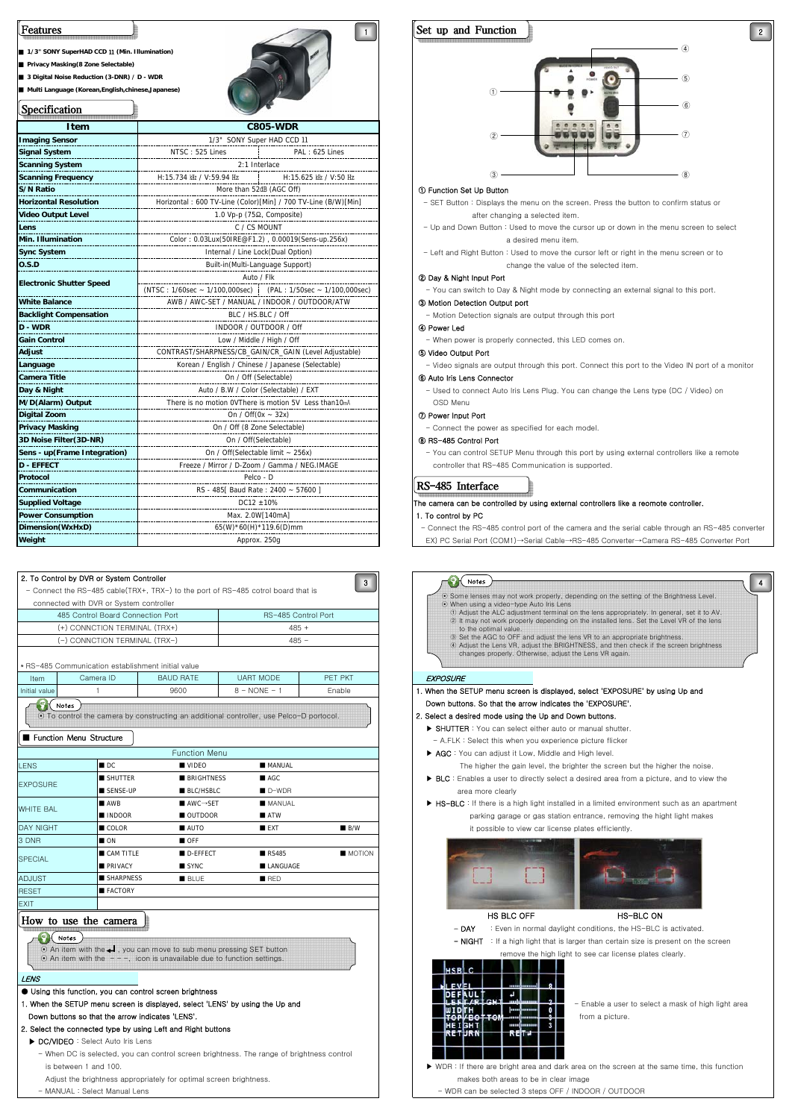# ■ **1/3" SONY SuperHAD CCD** Ⅱ **(Min. Illumination)** Features

■ **Privacy Masking(8 Zone Selectable)**

■ 3 Digital Noise Reduction (3-DNR) / D - WDR

■ **Multi Language (Korean,English,chinese,Japanese)**

℩  $\overline{\phantom{a}}$  specifications in the second second second second second second second second second second second second second second second second second second second second second second second second second second secon



| <b>Specification</b>            |                                                                 |  |  |
|---------------------------------|-----------------------------------------------------------------|--|--|
| Item                            | <b>C805-WDR</b>                                                 |  |  |
| <b>Imaging Sensor</b>           | 1/3" SONY Super HAD CCD 11                                      |  |  |
| <b>Signal System</b>            | NTSC: 525 Lines<br>PAL: 625 Lines                               |  |  |
| <b>Scanning System</b>          | 2:1 Interlace                                                   |  |  |
| <b>Scanning Frequency</b>       | H:15.734 kHz / V:59.94 Hz<br>H:15.625 kHz / V:50 Hz             |  |  |
| <b>S/N Ratio</b>                | More than 52dB (AGC Off)                                        |  |  |
| <b>Horizontal Resolution</b>    | Horizontal: 600 TV-Line (Color) [Min] / 700 TV-Line (B/W) [Min] |  |  |
| <b>Video Output Level</b>       | 1.0 Vp-p (75Ω, Composite)                                       |  |  |
| Lens                            | C / CS MOUNT                                                    |  |  |
| Min. Illumination               | Color: 0.03Lux(50IRE@F1.2), 0.00019(Sens-up.256x)               |  |  |
| <b>Sync System</b>              | Internal / Line Lock(Dual Option)                               |  |  |
| 0.S.D                           | Built-in(Multi-Language Support)                                |  |  |
| <b>Electronic Shutter Speed</b> | Auto / Flk                                                      |  |  |
|                                 |                                                                 |  |  |
| <b>White Balance</b>            | AWB / AWC-SET / MANUAL / INDOOR / OUTDOOR/ATW                   |  |  |
| <b>Backlight Compensation</b>   | BLC / HS.BLC / Off                                              |  |  |
| <b>D - WDR</b>                  | INDOOR / OUTDOOR / Off                                          |  |  |
| <b>Gain Control</b>             | Low / Middle / High / Off                                       |  |  |
| Adjust                          | CONTRAST/SHARPNESS/CB_GAIN/CR_GAIN (Level Adjustable)           |  |  |
| Language                        | Korean / English / Chinese / Japanese (Selectable)              |  |  |
| Camera Title                    | On / Off (Selectable)                                           |  |  |
| Day & Night                     | Auto / B.W / Color (Selectable) / EXT                           |  |  |
| M/D(Alarm) Output               | There is no motion OVThere is motion 5V Less than10mA           |  |  |
| <b>Digital Zoom</b>             | On / Off $(0x - 32x)$                                           |  |  |
| <b>Privacy Masking</b>          | On / Off (8 Zone Selectable)                                    |  |  |
| 3D Noise Filter(3D-NR)          | On / Off(Selectable)                                            |  |  |
| Sens - up(Frame Integration)    | On / Off(Selectable limit ~ 256x)                               |  |  |
| <b>D - EFFECT</b>               | Freeze / Mirror / D-Zoom / Gamma / NEG.IMAGE                    |  |  |
| Protocol                        | Pelco - D                                                       |  |  |
| Communication                   | RS - 485[ Baud Rate: 2400 ~ 57600]                              |  |  |
| <b>Supplied Voltage</b>         | $DC12 + 10%$                                                    |  |  |
| <b>Power Consumption</b>        | Max. 2.0W[140mA]                                                |  |  |
| Dimension(WxHxD)                | 65(W)*60(H)*119.6(D)mm                                          |  |  |
| Weiaht                          | Approx. 250g                                                    |  |  |

|                                   |                                                    |                     | - Connect the RS-485 cable(TRX+, TRX-) to the port of RS-485 cotrol board that is | 3                   | $\odot$ Som   |
|-----------------------------------|----------------------------------------------------|---------------------|-----------------------------------------------------------------------------------|---------------------|---------------|
|                                   | connected with DVR or System controller            |                     |                                                                                   |                     | ⊙ Wher        |
| 485 Control Board Connection Port |                                                    | RS-485 Control Port |                                                                                   | $(1)$ A<br>$(2)$ It |               |
| (+) CONNCTION TERMINAL (TRX+)     |                                                    | $485 +$             |                                                                                   |                     |               |
| (-) CONNCTION TERMINAL (TRX-)     |                                                    | $485 -$             |                                                                                   | $(3)$ Se<br>$(4)$ A |               |
|                                   | * RS-485 Communication establishment initial value |                     |                                                                                   |                     |               |
| <b>Item</b>                       | Camera ID                                          | <b>BAUD RATE</b>    | <b>UART MODE</b>                                                                  | PFT PKT             | EXPOSURE      |
|                                   |                                                    | 9600                | $8 - \text{NONE} - 1$                                                             | Enable              | 1. When the S |
| Initial value                     |                                                    |                     |                                                                                   |                     |               |

### **Function Menu Structure**

|                  |                    | <b>Function Menu</b>                 |                    |               |
|------------------|--------------------|--------------------------------------|--------------------|---------------|
| <b>LENS</b>      | $\blacksquare$ DC  | <b>VIDEO</b>                         | MANUAL             |               |
| <b>EXPOSURE</b>  | SHUTTER            | <b>BRIGHTNESS</b>                    | AC                 |               |
|                  | SENSE-UP           | <b>BLC/HSBLC</b>                     | $D-WDR$            |               |
| <b>WHITE BAL</b> | <b>AWB</b>         | $\blacksquare$ AWC $\rightarrow$ SET | <b>MANUAL</b>      |               |
|                  | <b>INDOOR</b>      | OUTDOOR                              | $\blacksquare$ ATW |               |
| <b>DAY NIGHT</b> | COLOR <sub>1</sub> | AUTO                                 | <b>EXT</b>         | B/W           |
| 3 DNR            | $\blacksquare$ ON  | OFF                                  |                    |               |
| <b>SPECIAL</b>   | CAM TITLE          | D-EFFECT                             | RS485              | <b>MOTION</b> |
|                  | <b>PRIVACY</b>     | SYNC <sub>1</sub>                    | LANGUAGE           |               |
| <b>ADJUST</b>    | <b>SHARPNESS</b>   | <b>BLUE</b>                          | BED                |               |
| <b>RESET</b>     | <b>FACTORY</b>     |                                      |                    |               |

## How to use the camera

#### $\n<sub>l</sub>$  Notes

| ∧⊙ An item with the < I, you can move to sub menu pressing SET button              |
|------------------------------------------------------------------------------------|
| $\odot$ An item with the $-$ - $-$ , icon is unavailable due to function settings. |

#### LENS

EXIT

1. When the SETUP menu screen is displayed, select 'LENS' by using the Up and  $\blacksquare$ 

# 2. Select the connected type by using Left and Right buttons

- When DC is selected, you can control screen brightness. The range of brightness control
- Adjust the brightness appropriately for optimal screen brightness. The makes both areas to be in clear image
- 



#### ① Function Set Up Button

 - SET Button : Displays the menu on the screen. Press the button to confirm status or after changing a selected item.

- Up and Down Button : Used to move the cursor up or down in the menu screen to select a desired menu item.
- Left and Right Button : Used to move the cursor left or right in the menu screen or to change the value of the selected item.

#### ② Day & Night Input Port

You can switch to Day & Night mode by connecting an external signal to this port.

#### ③ Motion Detection Output port

- Motion Detection signals are output through this port

### ④ Power Led

When power is properly connected, this LED comes on.

#### ⑤ Video Output Port

 - Video signals are output through this port. Connect this port to the Video IN port of a monitor ⑥ Auto Iris Lens Connector

#### - Used to connect Auto Iris Lens Plug. You can change the Lens type (DC / Video) on

OSD Menu

### ⑦ Power Input Port

- Connect the power as specified for each model.

#### ⑧ RS-485 Control Port

 - You can control SETUP Menu through this port by using external controllers like a remote controller that RS-485 Communication is supported.

#### RS-485 Interface

#### The camera can be controlled by using external controllers like a reomote controller.

#### 1. To control by PC

 - Connect the RS-485 control port of the camera and the serial cable through an RS-485 converter EX) PC Serial Port (COM1)→Serial Cable→RS-485 Converter→Camera RS-485 Converter Port





| ENS                                                                                       |                 |
|-------------------------------------------------------------------------------------------|-----------------|
| Using this function, you can control screen brightness                                    |                 |
| . When the SETUP menu screen is displayed, select 'LENS' by using the Up and              | - Enable a user |
| Down buttons so that the arrow indicates 'LENS'.                                          | from a picture. |
| . Select the connected type by using Left and Right buttons                               |                 |
| DC/VIDEO: Select Auto Iris Lens                                                           |                 |
| - When DC is selected, you can control screen brightness. The range of brightness control |                 |

is between 1 and 100. ★ WDR : If there are bright area and dark area on the screen at the same time, this function

- MANUAL : Select Manual Lens - WDR can be selected 3 steps OFF / INDOOR / OUTDOOR